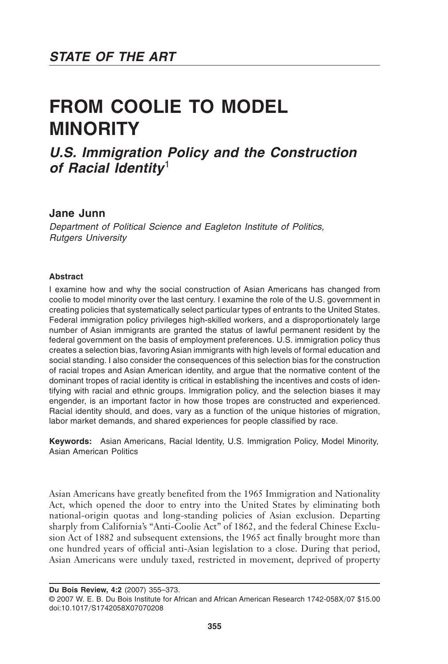# **FROM COOLIE TO MODEL MINORITY**

# *U.S. Immigration Policy and the Construction of Racial Identity*<sup>1</sup>

## **Jane Junn**

*Department of Political Science and Eagleton Institute of Politics, Rutgers University*

#### **Abstract**

I examine how and why the social construction of Asian Americans has changed from coolie to model minority over the last century. I examine the role of the U.S. government in creating policies that systematically select particular types of entrants to the United States. Federal immigration policy privileges high-skilled workers, and a disproportionately large number of Asian immigrants are granted the status of lawful permanent resident by the federal government on the basis of employment preferences. U.S. immigration policy thus creates a selection bias, favoring Asian immigrants with high levels of formal education and social standing. I also consider the consequences of this selection bias for the construction of racial tropes and Asian American identity, and argue that the normative content of the dominant tropes of racial identity is critical in establishing the incentives and costs of identifying with racial and ethnic groups. Immigration policy, and the selection biases it may engender, is an important factor in how those tropes are constructed and experienced. Racial identity should, and does, vary as a function of the unique histories of migration, labor market demands, and shared experiences for people classified by race.

**Keywords:** Asian Americans, Racial Identity, U.S. Immigration Policy, Model Minority, Asian American Politics

Asian Americans have greatly benefited from the 1965 Immigration and Nationality Act, which opened the door to entry into the United States by eliminating both national-origin quotas and long-standing policies of Asian exclusion. Departing sharply from California's "Anti-Coolie Act" of 1862, and the federal Chinese Exclusion Act of 1882 and subsequent extensions, the 1965 act finally brought more than one hundred years of official anti-Asian legislation to a close. During that period, Asian Americans were unduly taxed, restricted in movement, deprived of property

**Du Bois Review, 4:2** (2007) 355–373.

<sup>© 2007</sup> W. E. B. Du Bois Institute for African and African American Research 1742-058X007 \$15.00 doi:10.1017/S1742058X07070208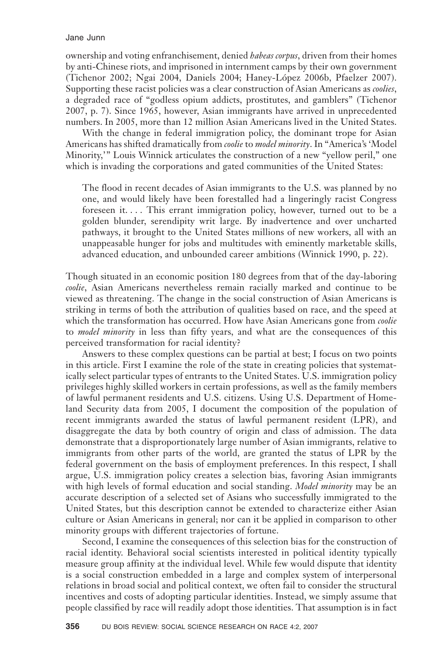ownership and voting enfranchisement, denied *habeas corpus*, driven from their homes by anti-Chinese riots, and imprisoned in internment camps by their own government ~Tichenor 2002; Ngai 2004, Daniels 2004; Haney-López 2006b, Pfaelzer 2007!. Supporting these racist policies was a clear construction of Asian Americans as *coolies*, a degraded race of "godless opium addicts, prostitutes, and gamblers" (Tichenor 2007, p. 7). Since 1965, however, Asian immigrants have arrived in unprecedented numbers. In 2005, more than 12 million Asian Americans lived in the United States.

With the change in federal immigration policy, the dominant trope for Asian Americans has shifted dramatically from *coolie* to *model minority*. In "America's 'Model Minority,'" Louis Winnick articulates the construction of a new "yellow peril," one which is invading the corporations and gated communities of the United States:

The flood in recent decades of Asian immigrants to the U.S. was planned by no one, and would likely have been forestalled had a lingeringly racist Congress foreseen it.... This errant immigration policy, however, turned out to be a golden blunder, serendipity writ large. By inadvertence and over uncharted pathways, it brought to the United States millions of new workers, all with an unappeasable hunger for jobs and multitudes with eminently marketable skills, advanced education, and unbounded career ambitions (Winnick 1990, p. 22).

Though situated in an economic position 180 degrees from that of the day-laboring *coolie*, Asian Americans nevertheless remain racially marked and continue to be viewed as threatening. The change in the social construction of Asian Americans is striking in terms of both the attribution of qualities based on race, and the speed at which the transformation has occurred. How have Asian Americans gone from *coolie* to *model minority* in less than fifty years, and what are the consequences of this perceived transformation for racial identity?

Answers to these complex questions can be partial at best; I focus on two points in this article. First I examine the role of the state in creating policies that systematically select particular types of entrants to the United States. U.S. immigration policy privileges highly skilled workers in certain professions, as well as the family members of lawful permanent residents and U.S. citizens. Using U.S. Department of Homeland Security data from 2005, I document the composition of the population of recent immigrants awarded the status of lawful permanent resident (LPR), and disaggregate the data by both country of origin and class of admission. The data demonstrate that a disproportionately large number of Asian immigrants, relative to immigrants from other parts of the world, are granted the status of LPR by the federal government on the basis of employment preferences. In this respect, I shall argue, U.S. immigration policy creates a selection bias, favoring Asian immigrants with high levels of formal education and social standing. *Model minority* may be an accurate description of a selected set of Asians who successfully immigrated to the United States, but this description cannot be extended to characterize either Asian culture or Asian Americans in general; nor can it be applied in comparison to other minority groups with different trajectories of fortune.

Second, I examine the consequences of this selection bias for the construction of racial identity. Behavioral social scientists interested in political identity typically measure group affinity at the individual level. While few would dispute that identity is a social construction embedded in a large and complex system of interpersonal relations in broad social and political context, we often fail to consider the structural incentives and costs of adopting particular identities. Instead, we simply assume that people classified by race will readily adopt those identities. That assumption is in fact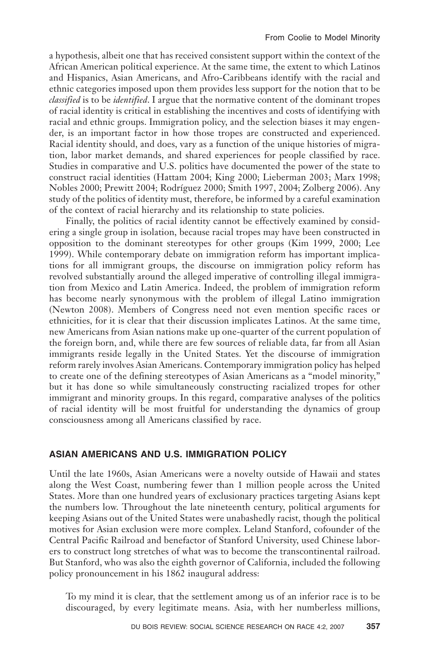a hypothesis, albeit one that has received consistent support within the context of the African American political experience. At the same time, the extent to which Latinos and Hispanics, Asian Americans, and Afro-Caribbeans identify with the racial and ethnic categories imposed upon them provides less support for the notion that to be *classified* is to be *identified*. I argue that the normative content of the dominant tropes of racial identity is critical in establishing the incentives and costs of identifying with racial and ethnic groups. Immigration policy, and the selection biases it may engender, is an important factor in how those tropes are constructed and experienced. Racial identity should, and does, vary as a function of the unique histories of migration, labor market demands, and shared experiences for people classified by race. Studies in comparative and U.S. politics have documented the power of the state to construct racial identities (Hattam 2004; King 2000; Lieberman 2003; Marx 1998; Nobles 2000; Prewitt 2004; Rodríguez 2000; Smith 1997, 2004; Zolberg 2006!. Any study of the politics of identity must, therefore, be informed by a careful examination of the context of racial hierarchy and its relationship to state policies.

Finally, the politics of racial identity cannot be effectively examined by considering a single group in isolation, because racial tropes may have been constructed in opposition to the dominant stereotypes for other groups (Kim 1999, 2000; Lee 1999). While contemporary debate on immigration reform has important implications for all immigrant groups, the discourse on immigration policy reform has revolved substantially around the alleged imperative of controlling illegal immigration from Mexico and Latin America. Indeed, the problem of immigration reform has become nearly synonymous with the problem of illegal Latino immigration (Newton 2008). Members of Congress need not even mention specific races or ethnicities, for it is clear that their discussion implicates Latinos. At the same time, new Americans from Asian nations make up one-quarter of the current population of the foreign born, and, while there are few sources of reliable data, far from all Asian immigrants reside legally in the United States. Yet the discourse of immigration reform rarely involves Asian Americans. Contemporary immigration policy has helped to create one of the defining stereotypes of Asian Americans as a "model minority," but it has done so while simultaneously constructing racialized tropes for other immigrant and minority groups. In this regard, comparative analyses of the politics of racial identity will be most fruitful for understanding the dynamics of group consciousness among all Americans classified by race.

#### **ASIAN AMERICANS AND U.S. IMMIGRATION POLICY**

Until the late 1960s, Asian Americans were a novelty outside of Hawaii and states along the West Coast, numbering fewer than 1 million people across the United States. More than one hundred years of exclusionary practices targeting Asians kept the numbers low. Throughout the late nineteenth century, political arguments for keeping Asians out of the United States were unabashedly racist, though the political motives for Asian exclusion were more complex. Leland Stanford, cofounder of the Central Pacific Railroad and benefactor of Stanford University, used Chinese laborers to construct long stretches of what was to become the transcontinental railroad. But Stanford, who was also the eighth governor of California, included the following policy pronouncement in his 1862 inaugural address:

To my mind it is clear, that the settlement among us of an inferior race is to be discouraged, by every legitimate means. Asia, with her numberless millions,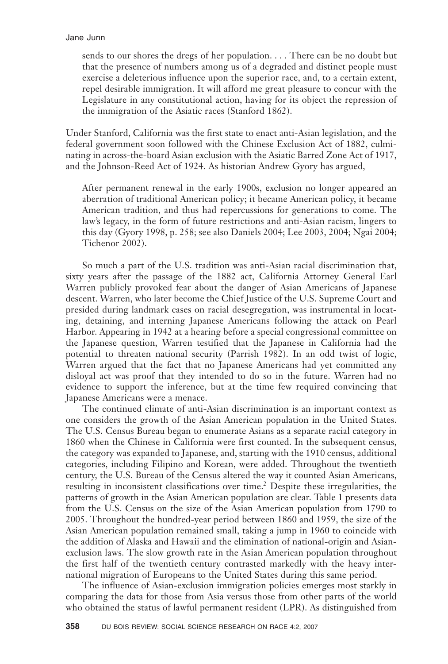sends to our shores the dregs of her population.... There can be no doubt but that the presence of numbers among us of a degraded and distinct people must exercise a deleterious influence upon the superior race, and, to a certain extent, repel desirable immigration. It will afford me great pleasure to concur with the Legislature in any constitutional action, having for its object the repression of the immigration of the Asiatic races (Stanford 1862).

Under Stanford, California was the first state to enact anti-Asian legislation, and the federal government soon followed with the Chinese Exclusion Act of 1882, culminating in across-the-board Asian exclusion with the Asiatic Barred Zone Act of 1917, and the Johnson-Reed Act of 1924. As historian Andrew Gyory has argued,

After permanent renewal in the early 1900s, exclusion no longer appeared an aberration of traditional American policy; it became American policy, it became American tradition, and thus had repercussions for generations to come. The law's legacy, in the form of future restrictions and anti-Asian racism, lingers to this day ~Gyory 1998, p. 258; see also Daniels 2004; Lee 2003, 2004; Ngai 2004; Tichenor 2002).

So much a part of the U.S. tradition was anti-Asian racial discrimination that, sixty years after the passage of the 1882 act, California Attorney General Earl Warren publicly provoked fear about the danger of Asian Americans of Japanese descent. Warren, who later become the Chief Justice of the U.S. Supreme Court and presided during landmark cases on racial desegregation, was instrumental in locating, detaining, and interning Japanese Americans following the attack on Pearl Harbor. Appearing in 1942 at a hearing before a special congressional committee on the Japanese question, Warren testified that the Japanese in California had the potential to threaten national security (Parrish 1982). In an odd twist of logic, Warren argued that the fact that no Japanese Americans had yet committed any disloyal act was proof that they intended to do so in the future. Warren had no evidence to support the inference, but at the time few required convincing that Japanese Americans were a menace.

The continued climate of anti-Asian discrimination is an important context as one considers the growth of the Asian American population in the United States. The U.S. Census Bureau began to enumerate Asians as a separate racial category in 1860 when the Chinese in California were first counted. In the subsequent census, the category was expanded to Japanese, and, starting with the 1910 census, additional categories, including Filipino and Korean, were added. Throughout the twentieth century, the U.S. Bureau of the Census altered the way it counted Asian Americans, resulting in inconsistent classifications over time.<sup>2</sup> Despite these irregularities, the patterns of growth in the Asian American population are clear. Table 1 presents data from the U.S. Census on the size of the Asian American population from 1790 to 2005. Throughout the hundred-year period between 1860 and 1959, the size of the Asian American population remained small, taking a jump in 1960 to coincide with the addition of Alaska and Hawaii and the elimination of national-origin and Asianexclusion laws. The slow growth rate in the Asian American population throughout the first half of the twentieth century contrasted markedly with the heavy international migration of Europeans to the United States during this same period.

The influence of Asian-exclusion immigration policies emerges most starkly in comparing the data for those from Asia versus those from other parts of the world who obtained the status of lawful permanent resident (LPR). As distinguished from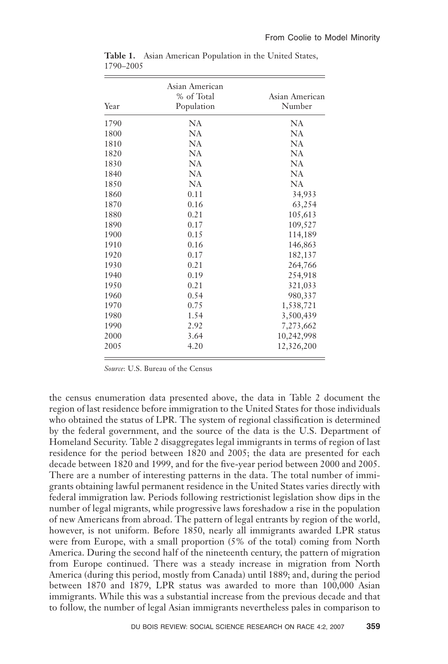|      | Asian American |                |
|------|----------------|----------------|
|      | % of Total     | Asian American |
| Year | Population     | Number         |
| 1790 | NA             | NA             |
| 1800 | <b>NA</b>      | <b>NA</b>      |
| 1810 | <b>NA</b>      | <b>NA</b>      |
| 1820 | <b>NA</b>      | <b>NA</b>      |
| 1830 | <b>NA</b>      | NA             |
| 1840 | <b>NA</b>      | <b>NA</b>      |
| 1850 | <b>NA</b>      | <b>NA</b>      |
| 1860 | 0.11           | 34,933         |
| 1870 | 0.16           | 63,254         |
| 1880 | 0.21           | 105,613        |
| 1890 | 0.17           | 109,527        |
| 1900 | 0.15           | 114,189        |
| 1910 | 0.16           | 146,863        |
| 1920 | 0.17           | 182,137        |
| 1930 | 0.21           | 264,766        |
| 1940 | 0.19           | 254,918        |
| 1950 | 0.21           | 321,033        |
| 1960 | 0.54           | 980,337        |
| 1970 | 0.75           | 1,538,721      |
| 1980 | 1.54           | 3,500,439      |
| 1990 | 2.92           | 7,273,662      |
| 2000 | 3.64           | 10,242,998     |
| 2005 | 4.20           | 12,326,200     |
|      |                |                |

**Table 1.** Asian American Population in the United States, 1790–2005

*Source*: U.S. Bureau of the Census

the census enumeration data presented above, the data in Table 2 document the region of last residence before immigration to the United States for those individuals who obtained the status of LPR. The system of regional classification is determined by the federal government, and the source of the data is the U.S. Department of Homeland Security. Table 2 disaggregates legal immigrants in terms of region of last residence for the period between 1820 and 2005; the data are presented for each decade between 1820 and 1999, and for the five-year period between 2000 and 2005. There are a number of interesting patterns in the data. The total number of immigrants obtaining lawful permanent residence in the United States varies directly with federal immigration law. Periods following restrictionist legislation show dips in the number of legal migrants, while progressive laws foreshadow a rise in the population of new Americans from abroad. The pattern of legal entrants by region of the world, however, is not uniform. Before 1850, nearly all immigrants awarded LPR status were from Europe, with a small proportion  $(5\%$  of the total) coming from North America. During the second half of the nineteenth century, the pattern of migration from Europe continued. There was a steady increase in migration from North America (during this period, mostly from Canada) until 1889; and, during the period between 1870 and 1879, LPR status was awarded to more than 100,000 Asian immigrants. While this was a substantial increase from the previous decade and that to follow, the number of legal Asian immigrants nevertheless pales in comparison to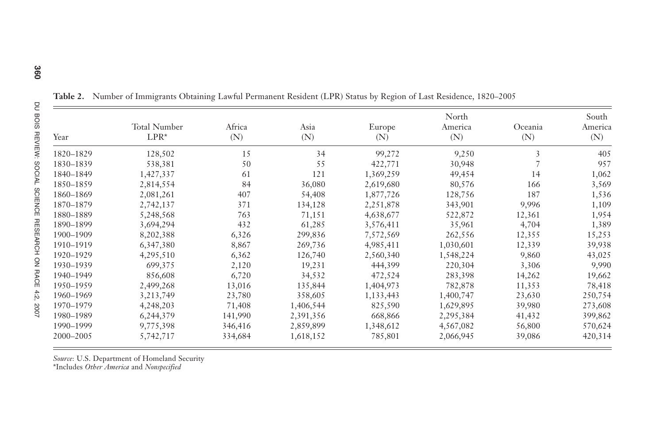|           |                     |         |           |           | North     |         | South   |
|-----------|---------------------|---------|-----------|-----------|-----------|---------|---------|
|           | <b>Total Number</b> | Africa  | Asia      | Europe    | America   | Oceania | America |
| Year      | $LPR*$              | (N)     | (N)       | (N)       | (N)       | (N)     | (N)     |
| 1820-1829 | 128,502             | 15      | 34        | 99,272    | 9,250     | 3       | 405     |
| 1830-1839 | 538,381             | 50      | 55        | 422,771   | 30,948    |         | 957     |
| 1840-1849 | 1,427,337           | 61      | 121       | 1,369,259 | 49,454    | 14      | 1,062   |
| 1850-1859 | 2,814,554           | 84      | 36,080    | 2,619,680 | 80,576    | 166     | 3,569   |
| 1860-1869 | 2,081,261           | 407     | 54,408    | 1,877,726 | 128,756   | 187     | 1,536   |
| 1870-1879 | 2,742,137           | 371     | 134,128   | 2,251,878 | 343,901   | 9,996   | 1,109   |
| 1880-1889 | 5,248,568           | 763     | 71,151    | 4,638,677 | 522,872   | 12,361  | 1,954   |
| 1890-1899 | 3,694,294           | 432     | 61,285    | 3,576,411 | 35,961    | 4,704   | 1,389   |
| 1900-1909 | 8,202,388           | 6,326   | 299,836   | 7,572,569 | 262,556   | 12,355  | 15,253  |
| 1910-1919 | 6,347,380           | 8,867   | 269,736   | 4,985,411 | 1,030,601 | 12,339  | 39,938  |
| 1920-1929 | 4,295,510           | 6,362   | 126,740   | 2,560,340 | 1,548,224 | 9,860   | 43,025  |
| 1930-1939 | 699,375             | 2,120   | 19,231    | 444,399   | 220,304   | 3,306   | 9,990   |
| 1940-1949 | 856,608             | 6,720   | 34,532    | 472,524   | 283,398   | 14,262  | 19,662  |
| 1950-1959 | 2,499,268           | 13,016  | 135,844   | 1,404,973 | 782,878   | 11,353  | 78,418  |
| 1960-1969 | 3,213,749           | 23,780  | 358,605   | 1,133,443 | 1,400,747 | 23,630  | 250,754 |
| 1970-1979 | 4,248,203           | 71,408  | 1,406,544 | 825,590   | 1,629,895 | 39,980  | 273,608 |
| 1980-1989 | 6,244,379           | 141,990 | 2,391,356 | 668,866   | 2,295,384 | 41,432  | 399,862 |
| 1990-1999 | 9,775,398           | 346,416 | 2,859,899 | 1,348,612 | 4,567,082 | 56,800  | 570,624 |
| 2000-2005 | 5,742,717           | 334,684 | 1,618,152 | 785,801   | 2,066,945 | 39,086  | 420,314 |

**Table 2.** Number of Immigrants Obtaining Lawful Permanent Resident (LPR) Status by Region of Last Residence, 1820–2005

*Source*: U.S. Department of Homeland Security \*Includes *Other America* and *Nonspecified*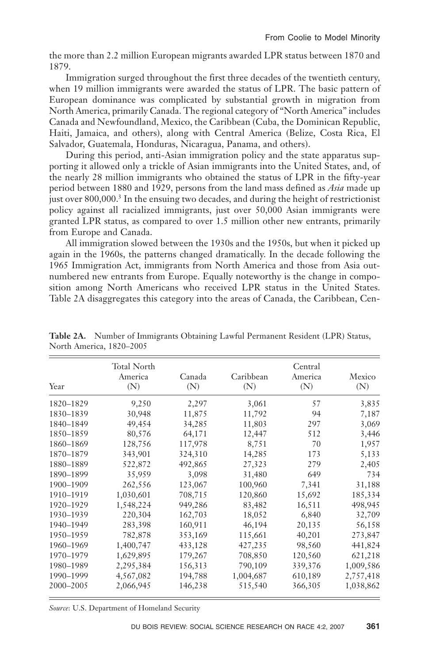the more than 2.2 million European migrants awarded LPR status between 1870 and 1879.

Immigration surged throughout the first three decades of the twentieth century, when 19 million immigrants were awarded the status of LPR. The basic pattern of European dominance was complicated by substantial growth in migration from North America, primarily Canada. The regional category of "North America" includes Canada and Newfoundland, Mexico, the Caribbean (Cuba, the Dominican Republic, Haiti, Jamaica, and others), along with Central America (Belize, Costa Rica, El Salvador, Guatemala, Honduras, Nicaragua, Panama, and others).

During this period, anti-Asian immigration policy and the state apparatus supporting it allowed only a trickle of Asian immigrants into the United States, and, of the nearly 28 million immigrants who obtained the status of LPR in the fifty-year period between 1880 and 1929, persons from the land mass defined as *Asia* made up just over  $800,000$ <sup>3</sup>. In the ensuing two decades, and during the height of restrictionist policy against all racialized immigrants, just over 50,000 Asian immigrants were granted LPR status, as compared to over 1.5 million other new entrants, primarily from Europe and Canada.

All immigration slowed between the 1930s and the 1950s, but when it picked up again in the 1960s, the patterns changed dramatically. In the decade following the 1965 Immigration Act, immigrants from North America and those from Asia outnumbered new entrants from Europe. Equally noteworthy is the change in composition among North Americans who received LPR status in the United States. Table 2A disaggregates this category into the areas of Canada, the Caribbean, Cen-

| Year      | <b>Total North</b><br>America<br>(N) | Canada<br>(N) | Caribbean<br>(N) | Central<br>America<br>(N) | Mexico<br>(N) |
|-----------|--------------------------------------|---------------|------------------|---------------------------|---------------|
| 1820-1829 | 9,250                                | 2,297         | 3,061            | 57                        | 3,835         |
| 1830-1839 | 30,948                               | 11,875        | 11,792           | 94                        | 7,187         |
| 1840-1849 | 49,454                               | 34,285        | 11,803           | 297                       | 3,069         |
| 1850-1859 | 80,576                               | 64,171        | 12,447           | 512                       | 3,446         |
| 1860-1869 | 128,756                              | 117,978       | 8,751            | 70                        | 1,957         |
| 1870-1879 | 343,901                              | 324,310       | 14,285           | 173                       | 5,133         |
| 1880-1889 | 522,872                              | 492,865       | 27,323           | 279                       | 2,405         |
| 1890-1899 | 35,959                               | 3,098         | 31,480           | 649                       | 734           |
| 1900-1909 | 262,556                              | 123,067       | 100,960          | 7,341                     | 31,188        |
| 1910-1919 | 1,030,601                            | 708,715       | 120,860          | 15,692                    | 185,334       |
| 1920-1929 | 1,548,224                            | 949,286       | 83,482           | 16,511                    | 498,945       |
| 1930-1939 | 220,304                              | 162,703       | 18,052           | 6,840                     | 32,709        |
| 1940-1949 | 283,398                              | 160,911       | 46,194           | 20,135                    | 56,158        |
| 1950-1959 | 782,878                              | 353,169       | 115,661          | 40,201                    | 273,847       |
| 1960-1969 | 1,400,747                            | 433,128       | 427,235          | 98,560                    | 441,824       |
| 1970-1979 | 1,629,895                            | 179,267       | 708,850          | 120,560                   | 621,218       |
| 1980-1989 | 2,295,384                            | 156,313       | 790,109          | 339,376                   | 1,009,586     |
| 1990-1999 | 4,567,082                            | 194,788       | 1,004,687        | 610,189                   | 2,757,418     |
| 2000-2005 | 2,066,945                            | 146,238       | 515,540          | 366,305                   | 1,038,862     |

Table 2A. Number of Immigrants Obtaining Lawful Permanent Resident (LPR) Status, North America, 1820–2005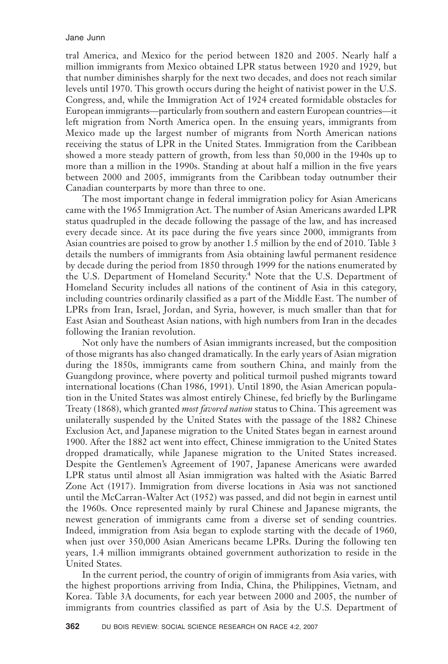tral America, and Mexico for the period between 1820 and 2005. Nearly half a million immigrants from Mexico obtained LPR status between 1920 and 1929, but that number diminishes sharply for the next two decades, and does not reach similar levels until 1970. This growth occurs during the height of nativist power in the U.S. Congress, and, while the Immigration Act of 1924 created formidable obstacles for European immigrants—particularly from southern and eastern European countries—it left migration from North America open. In the ensuing years, immigrants from Mexico made up the largest number of migrants from North American nations receiving the status of LPR in the United States. Immigration from the Caribbean showed a more steady pattern of growth, from less than 50,000 in the 1940s up to more than a million in the 1990s. Standing at about half a million in the five years between 2000 and 2005, immigrants from the Caribbean today outnumber their Canadian counterparts by more than three to one.

The most important change in federal immigration policy for Asian Americans came with the 1965 Immigration Act. The number of Asian Americans awarded LPR status quadrupled in the decade following the passage of the law, and has increased every decade since. At its pace during the five years since 2000, immigrants from Asian countries are poised to grow by another 1.5 million by the end of 2010. Table 3 details the numbers of immigrants from Asia obtaining lawful permanent residence by decade during the period from 1850 through 1999 for the nations enumerated by the U.S. Department of Homeland Security.4 Note that the U.S. Department of Homeland Security includes all nations of the continent of Asia in this category, including countries ordinarily classified as a part of the Middle East. The number of LPRs from Iran, Israel, Jordan, and Syria, however, is much smaller than that for East Asian and Southeast Asian nations, with high numbers from Iran in the decades following the Iranian revolution.

Not only have the numbers of Asian immigrants increased, but the composition of those migrants has also changed dramatically. In the early years of Asian migration during the 1850s, immigrants came from southern China, and mainly from the Guangdong province, where poverty and political turmoil pushed migrants toward international locations (Chan 1986, 1991). Until 1890, the Asian American population in the United States was almost entirely Chinese, fed briefly by the Burlingame Treaty (1868), which granted *most favored nation* status to China. This agreement was unilaterally suspended by the United States with the passage of the 1882 Chinese Exclusion Act, and Japanese migration to the United States began in earnest around 1900. After the 1882 act went into effect, Chinese immigration to the United States dropped dramatically, while Japanese migration to the United States increased. Despite the Gentlemen's Agreement of 1907, Japanese Americans were awarded LPR status until almost all Asian immigration was halted with the Asiatic Barred Zone Act (1917). Immigration from diverse locations in Asia was not sanctioned until the McCarran-Walter Act  $(1952)$  was passed, and did not begin in earnest until the 1960s. Once represented mainly by rural Chinese and Japanese migrants, the newest generation of immigrants came from a diverse set of sending countries. Indeed, immigration from Asia began to explode starting with the decade of 1960, when just over 350,000 Asian Americans became LPRs. During the following ten years, 1.4 million immigrants obtained government authorization to reside in the United States.

In the current period, the country of origin of immigrants from Asia varies, with the highest proportions arriving from India, China, the Philippines, Vietnam, and Korea. Table 3A documents, for each year between 2000 and 2005, the number of immigrants from countries classified as part of Asia by the U.S. Department of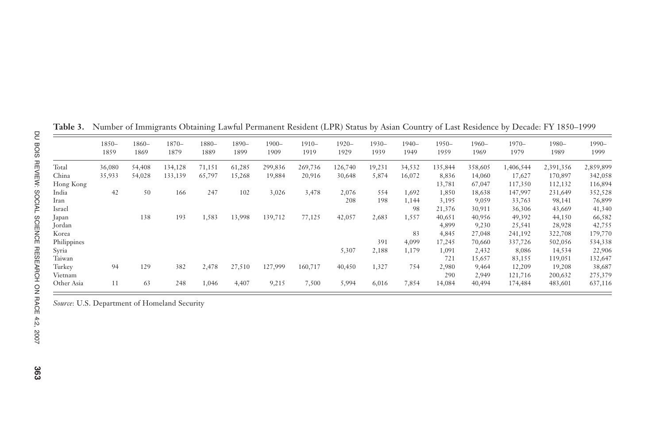|             | $1850-$<br>1859 | 1860-<br>1869 | 1870-<br>1879 | 1880-<br>1889 | $1890-$<br>1899 | $1900 -$<br>1909 | $1910-$<br>1919 | $1920 -$<br>1929 | $1930-$<br>1939 | $1940-$<br>1949 | $1950-$<br>1959 | $1960-$<br>1969 | $1970-$<br>1979 | $1980-$<br>1989 | $1990-$<br>1999 |
|-------------|-----------------|---------------|---------------|---------------|-----------------|------------------|-----------------|------------------|-----------------|-----------------|-----------------|-----------------|-----------------|-----------------|-----------------|
| Total       | 36,080          | 54,408        | 134,128       | 71,151        | 61,285          | 299,836          | 269,736         | 126,740          | 19,231          | 34,532          | 135,844         | 358,605         | 1,406,544       | 2,391,356       | 2,859,899       |
| China       | 35,933          | 54,028        | 133,139       | 65,797        | 15,268          | 19,884           | 20,916          | 30,648           | 5,874           | 16,072          | 8,836           | 14,060          | 17,627          | 170,897         | 342,058         |
| Hong Kong   |                 |               |               |               |                 |                  |                 |                  |                 |                 | 13,781          | 67,047          | 117,350         | 112,132         | 116,894         |
| India       | 42              | 50            | 166           | 247           | 102             | 3,026            | 3,478           | 2,076            | 554             | 1,692           | 1,850           | 18,638          | 147,997         | 231,649         | 352,528         |
| Iran        |                 |               |               |               |                 |                  |                 | 208              | 198             | 1,144           | 3,195           | 9,059           | 33,763          | 98,141          | 76,899          |
| Israel      |                 |               |               |               |                 |                  |                 |                  |                 | 98              | 21,376          | 30,911          | 36,306          | 43,669          | 41,340          |
| Japan       |                 | 138           | 193           | 1,583         | 13,998          | 139,712          | 77,125          | 42,057           | 2,683           | 1,557           | 40,651          | 40,956          | 49,392          | 44,150          | 66,582          |
| Jordan      |                 |               |               |               |                 |                  |                 |                  |                 |                 | 4,899           | 9,230           | 25,541          | 28,928          | 42,755          |
| Korea       |                 |               |               |               |                 |                  |                 |                  |                 | 83              | 4,845           | 27,048          | 241,192         | 322,708         | 179,770         |
| Philippines |                 |               |               |               |                 |                  |                 |                  | 391             | 4,099           | 17,245          | 70,660          | 337,726         | 502,056         | 534,338         |
| Syria       |                 |               |               |               |                 |                  |                 | 5,307            | 2,188           | 1,179           | 1,091           | 2,432           | 8,086           | 14,534          | 22,906          |
| Taiwan      |                 |               |               |               |                 |                  |                 |                  |                 |                 | 721             | 15,657          | 83,155          | 119,051         | 132,647         |
| Turkey      | 94              | 129           | 382           | 2,478         | 27,510          | 127,999          | 160,717         | 40,450           | 1,327           | 754             | 2,980           | 9,464           | 12,209          | 19,208          | 38,687          |
| Vietnam     |                 |               |               |               |                 |                  |                 |                  |                 |                 | 290             | 2,949           | 121,716         | 200,632         | 275,379         |
| Other Asia  | 11              | 63            | 248           | 1,046         | 4,407           | 9,215            | 7,500           | 5,994            | 6,016           | 7,854           | 14,084          | 40,494          | 174,484         | 483,601         | 637,116         |

Table 3. Number of Immigrants Obtaining Lawful Permanent Resident (LPR) Status by Asian Country of Last Residence by Decade: FY 1850–1999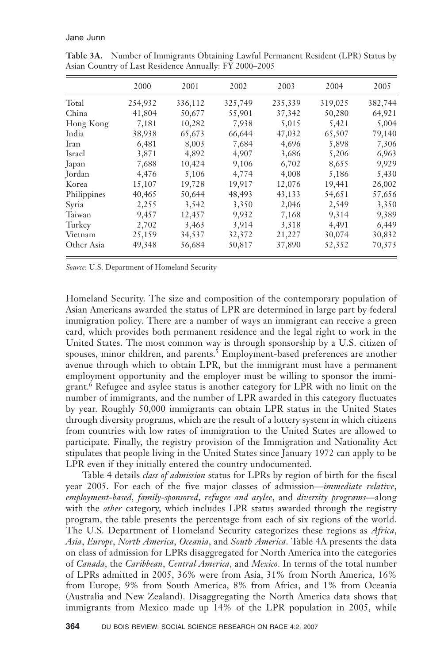#### Jane Junn

|             | 2000    | 2001    | 2002    | 2003    | 2004    | 2005    |
|-------------|---------|---------|---------|---------|---------|---------|
| Total       | 254,932 | 336,112 | 325,749 | 235,339 | 319,025 | 382,744 |
| China       | 41,804  | 50,677  | 55,901  | 37,342  | 50,280  | 64,921  |
| Hong Kong   | 7,181   | 10,282  | 7,938   | 5,015   | 5,421   | 5,004   |
| India       | 38,938  | 65,673  | 66,644  | 47,032  | 65,507  | 79,140  |
| Iran        | 6,481   | 8,003   | 7,684   | 4,696   | 5,898   | 7,306   |
| Israel      | 3,871   | 4,892   | 4,907   | 3,686   | 5,206   | 6,963   |
| Japan       | 7,688   | 10,424  | 9,106   | 6,702   | 8,655   | 9,929   |
| Jordan      | 4,476   | 5,106   | 4,774   | 4,008   | 5,186   | 5,430   |
| Korea       | 15,107  | 19,728  | 19,917  | 12,076  | 19,441  | 26,002  |
| Philippines | 40,465  | 50,644  | 48,493  | 43,133  | 54,651  | 57,656  |
| Syria       | 2,255   | 3,542   | 3,350   | 2,046   | 2,549   | 3,350   |
| Taiwan      | 9,457   | 12,457  | 9,932   | 7,168   | 9,314   | 9,389   |
| Turkey      | 2,702   | 3,463   | 3,914   | 3,318   | 4,491   | 6,449   |
| Vietnam     | 25,159  | 34,537  | 32,372  | 21,227  | 30,074  | 30,832  |
| Other Asia  | 49,348  | 56,684  | 50,817  | 37,890  | 52,352  | 70,373  |

Table 3A. Number of Immigrants Obtaining Lawful Permanent Resident (LPR) Status by Asian Country of Last Residence Annually: FY 2000–2005

*Source*: U.S. Department of Homeland Security

Homeland Security. The size and composition of the contemporary population of Asian Americans awarded the status of LPR are determined in large part by federal immigration policy. There are a number of ways an immigrant can receive a green card, which provides both permanent residence and the legal right to work in the United States. The most common way is through sponsorship by a U.S. citizen of spouses, minor children, and parents. $\frac{5}{5}$  Employment-based preferences are another avenue through which to obtain LPR, but the immigrant must have a permanent employment opportunity and the employer must be willing to sponsor the immigrant.6 Refugee and asylee status is another category for LPR with no limit on the number of immigrants, and the number of LPR awarded in this category fluctuates by year. Roughly 50,000 immigrants can obtain LPR status in the United States through diversity programs, which are the result of a lottery system in which citizens from countries with low rates of immigration to the United States are allowed to participate. Finally, the registry provision of the Immigration and Nationality Act stipulates that people living in the United States since January 1972 can apply to be LPR even if they initially entered the country undocumented.

Table 4 details *class of admission* status for LPRs by region of birth for the fiscal year 2005. For each of the five major classes of admission—*immediate relative*, *employment-based*, *family-sponsored*, *refugee and asylee*, and *diversity programs*—along with the *other* category, which includes LPR status awarded through the registry program, the table presents the percentage from each of six regions of the world. The U.S. Department of Homeland Security categorizes these regions as *Africa*, *Asia*, *Europe*, *North America*, *Oceania*, and *South America*. Table 4A presents the data on class of admission for LPRs disaggregated for North America into the categories of *Canada*, the *Caribbean*, *Central America*, and *Mexico*. In terms of the total number of LPRs admitted in 2005, 36% were from Asia, 31% from North America, 16% from Europe, 9% from South America, 8% from Africa, and 1% from Oceania (Australia and New Zealand). Disaggregating the North America data shows that immigrants from Mexico made up 14% of the LPR population in 2005, while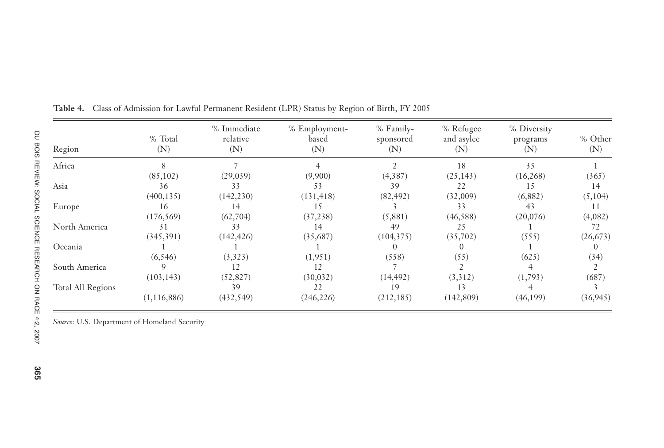| Region                   | % Total<br>(N) | % Immediate<br>relative<br>(N) | % Employment-<br>based<br>(N) | % Family-<br>sponsored<br>(N) | % Refugee<br>and asylee<br>(N) | % Diversity<br>programs<br>(N) | % Other<br>(N) |
|--------------------------|----------------|--------------------------------|-------------------------------|-------------------------------|--------------------------------|--------------------------------|----------------|
| Africa                   |                |                                |                               |                               | 18                             | 35                             |                |
|                          | (85,102)       | (29,039)                       | (9,900)                       | (4,387)                       | (25, 143)                      | (16,268)                       | (365)          |
| Asia                     | 36             | 33                             | 53                            | 39                            | 22                             | 15                             | 14             |
|                          | (400, 135)     | (142, 230)                     | (131, 418)                    | (82, 492)                     | (32,009)                       | (6,882)                        | (5,104)        |
| Europe                   | 16             | 14                             | 15                            |                               | 33                             | 43                             | 11             |
|                          | (176, 569)     | (62, 704)                      | (37, 238)                     | (5,881)                       | (46, 588)                      | (20,076)                       | (4,082)        |
| North America            | 31             | 33                             | 14                            | 49                            | 25                             |                                | 72             |
|                          | (345,391)      | (142, 426)                     | (35,687)                      | (104, 375)                    | (35,702)                       | (555)                          | (26, 673)      |
| Oceania                  |                |                                |                               |                               |                                |                                |                |
|                          | (6, 546)       | (3,323)                        | (1,951)                       | (558)                         | (55)                           | (625)                          | (34)           |
| South America            |                | 12                             | 12                            |                               |                                |                                |                |
|                          | (103, 143)     | (52, 827)                      | (30,032)                      | (14, 492)                     | (3,312)                        | (1,793)                        | (687)          |
| <b>Total All Regions</b> |                | 39                             | 22                            | 19                            | 13                             |                                |                |
|                          | (1, 116, 886)  | (432, 549)                     | (246, 226)                    | (212, 185)                    | (142, 809)                     | (46, 199)                      | (36, 945)      |

**Table 4.** Class of Admission for Lawful Permanent Resident (LPR) Status by Region of Birth, FY 2005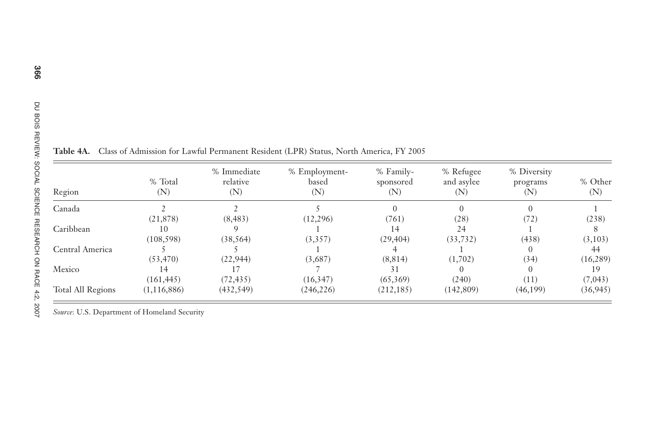| Region            | % Total<br>(N) | % Immediate<br>relative<br>$({\rm N})$ | % Employment-<br>based<br>(N) | % Family-<br>sponsored<br>(N) | % Refugee<br>and asylee<br>(N) | % Diversity<br>programs<br>(N) | % Other<br>(N) |
|-------------------|----------------|----------------------------------------|-------------------------------|-------------------------------|--------------------------------|--------------------------------|----------------|
| Canada            |                |                                        |                               |                               |                                |                                |                |
|                   | (21,878)       | (8, 483)                               | (12, 296)                     | (761)                         | (28)                           | (72)                           | (238)          |
| Caribbean         | 10             |                                        |                               | 14                            | 24                             |                                |                |
|                   | (108, 598)     | (38, 564)                              | (3,357)                       | (29, 404)                     | (33, 732)                      | (438)                          | (3,103)        |
| Central America   |                |                                        |                               |                               |                                |                                | 44             |
|                   | (53, 470)      | (22, 944)                              | (3,687)                       | (8, 814)                      | (1,702)                        | (34)                           | (16, 289)      |
| Mexico            | 4              |                                        |                               |                               |                                |                                |                |
|                   | (161, 445)     | (72, 435)                              | (16,347)                      | (65,369)                      | (240)                          | (11)                           | (7,043)        |
| Total All Regions | (1,116,886)    | (432, 549)                             | (246, 226)                    | (212, 185)                    | (142, 809)                     | (46,199)                       | (36, 945)      |

**Table 4A.** Class of Admission for Lawful Permanent Resident (LPR) Status, North America, FY 2005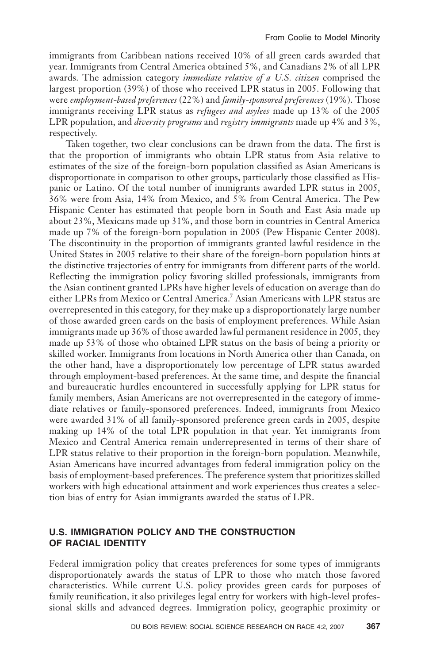immigrants from Caribbean nations received 10% of all green cards awarded that year. Immigrants from Central America obtained 5%, and Canadians 2% of all LPR awards. The admission category *immediate relative of a U.S. citizen* comprised the largest proportion  $(39%)$  of those who received LPR status in 2005. Following that were *employment-based preferences* (22%) and *family-sponsored preferences* (19%). Those immigrants receiving LPR status as *refugees and asylees* made up 13% of the 2005 LPR population, and *diversity programs* and *registry immigrants* made up 4% and 3%, respectively.

Taken together, two clear conclusions can be drawn from the data. The first is that the proportion of immigrants who obtain LPR status from Asia relative to estimates of the size of the foreign-born population classified as Asian Americans is disproportionate in comparison to other groups, particularly those classified as Hispanic or Latino. Of the total number of immigrants awarded LPR status in 2005, 36% were from Asia, 14% from Mexico, and 5% from Central America. The Pew Hispanic Center has estimated that people born in South and East Asia made up about 23%, Mexicans made up 31%, and those born in countries in Central America made up  $7\%$  of the foreign-born population in 2005 (Pew Hispanic Center 2008). The discontinuity in the proportion of immigrants granted lawful residence in the United States in 2005 relative to their share of the foreign-born population hints at the distinctive trajectories of entry for immigrants from different parts of the world. Reflecting the immigration policy favoring skilled professionals, immigrants from the Asian continent granted LPRs have higher levels of education on average than do either LPRs from Mexico or Central America.7 Asian Americans with LPR status are overrepresented in this category, for they make up a disproportionately large number of those awarded green cards on the basis of employment preferences. While Asian immigrants made up 36% of those awarded lawful permanent residence in 2005, they made up 53% of those who obtained LPR status on the basis of being a priority or skilled worker. Immigrants from locations in North America other than Canada, on the other hand, have a disproportionately low percentage of LPR status awarded through employment-based preferences. At the same time, and despite the financial and bureaucratic hurdles encountered in successfully applying for LPR status for family members, Asian Americans are not overrepresented in the category of immediate relatives or family-sponsored preferences. Indeed, immigrants from Mexico were awarded 31% of all family-sponsored preference green cards in 2005, despite making up 14% of the total LPR population in that year. Yet immigrants from Mexico and Central America remain underrepresented in terms of their share of LPR status relative to their proportion in the foreign-born population. Meanwhile, Asian Americans have incurred advantages from federal immigration policy on the basis of employment-based preferences. The preference system that prioritizes skilled workers with high educational attainment and work experiences thus creates a selection bias of entry for Asian immigrants awarded the status of LPR.

### **U.S. IMMIGRATION POLICY AND THE CONSTRUCTION OF RACIAL IDENTITY**

Federal immigration policy that creates preferences for some types of immigrants disproportionately awards the status of LPR to those who match those favored characteristics. While current U.S. policy provides green cards for purposes of family reunification, it also privileges legal entry for workers with high-level professional skills and advanced degrees. Immigration policy, geographic proximity or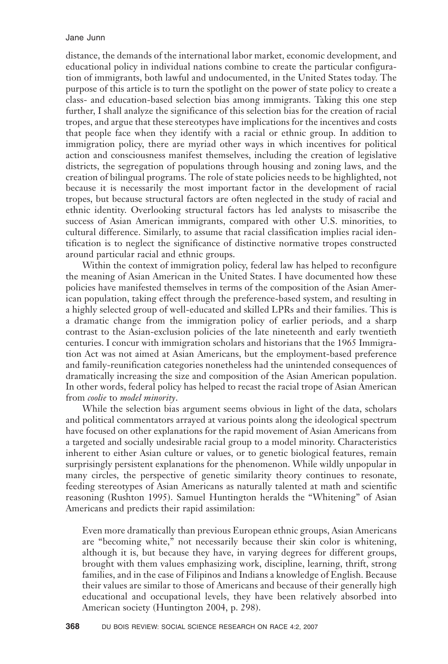distance, the demands of the international labor market, economic development, and educational policy in individual nations combine to create the particular configuration of immigrants, both lawful and undocumented, in the United States today. The purpose of this article is to turn the spotlight on the power of state policy to create a class- and education-based selection bias among immigrants. Taking this one step further, I shall analyze the significance of this selection bias for the creation of racial tropes, and argue that these stereotypes have implications for the incentives and costs that people face when they identify with a racial or ethnic group. In addition to immigration policy, there are myriad other ways in which incentives for political action and consciousness manifest themselves, including the creation of legislative districts, the segregation of populations through housing and zoning laws, and the creation of bilingual programs. The role of state policies needs to be highlighted, not because it is necessarily the most important factor in the development of racial tropes, but because structural factors are often neglected in the study of racial and ethnic identity. Overlooking structural factors has led analysts to misascribe the success of Asian American immigrants, compared with other U.S. minorities, to cultural difference. Similarly, to assume that racial classification implies racial identification is to neglect the significance of distinctive normative tropes constructed around particular racial and ethnic groups.

Within the context of immigration policy, federal law has helped to reconfigure the meaning of Asian American in the United States. I have documented how these policies have manifested themselves in terms of the composition of the Asian American population, taking effect through the preference-based system, and resulting in a highly selected group of well-educated and skilled LPRs and their families. This is a dramatic change from the immigration policy of earlier periods, and a sharp contrast to the Asian-exclusion policies of the late nineteenth and early twentieth centuries. I concur with immigration scholars and historians that the 1965 Immigration Act was not aimed at Asian Americans, but the employment-based preference and family-reunification categories nonetheless had the unintended consequences of dramatically increasing the size and composition of the Asian American population. In other words, federal policy has helped to recast the racial trope of Asian American from *coolie* to *model minority*.

While the selection bias argument seems obvious in light of the data, scholars and political commentators arrayed at various points along the ideological spectrum have focused on other explanations for the rapid movement of Asian Americans from a targeted and socially undesirable racial group to a model minority. Characteristics inherent to either Asian culture or values, or to genetic biological features, remain surprisingly persistent explanations for the phenomenon. While wildly unpopular in many circles, the perspective of genetic similarity theory continues to resonate, feeding stereotypes of Asian Americans as naturally talented at math and scientific reasoning (Rushton 1995). Samuel Huntington heralds the "Whitening" of Asian Americans and predicts their rapid assimilation:

Even more dramatically than previous European ethnic groups, Asian Americans are "becoming white," not necessarily because their skin color is whitening, although it is, but because they have, in varying degrees for different groups, brought with them values emphasizing work, discipline, learning, thrift, strong families, and in the case of Filipinos and Indians a knowledge of English. Because their values are similar to those of Americans and because of their generally high educational and occupational levels, they have been relatively absorbed into American society (Huntington 2004, p. 298).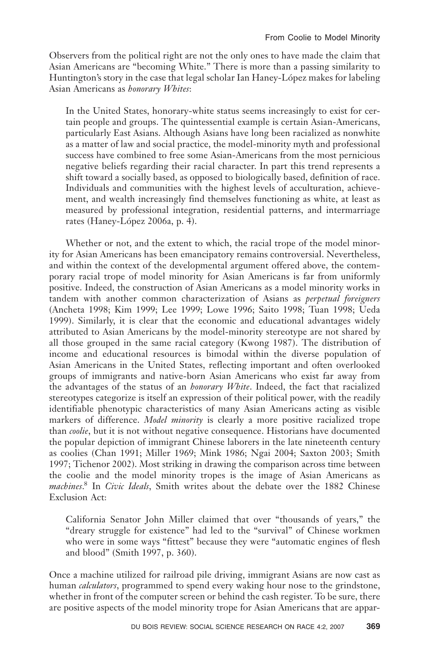Observers from the political right are not the only ones to have made the claim that Asian Americans are "becoming White." There is more than a passing similarity to Huntington's story in the case that legal scholar Ian Haney-López makes for labeling Asian Americans as *honorary Whites*:

In the United States, honorary-white status seems increasingly to exist for certain people and groups. The quintessential example is certain Asian-Americans, particularly East Asians. Although Asians have long been racialized as nonwhite as a matter of law and social practice, the model-minority myth and professional success have combined to free some Asian-Americans from the most pernicious negative beliefs regarding their racial character. In part this trend represents a shift toward a socially based, as opposed to biologically based, definition of race. Individuals and communities with the highest levels of acculturation, achievement, and wealth increasingly find themselves functioning as white, at least as measured by professional integration, residential patterns, and intermarriage rates (Haney-López 2006a, p. 4).

Whether or not, and the extent to which, the racial trope of the model minority for Asian Americans has been emancipatory remains controversial. Nevertheless, and within the context of the developmental argument offered above, the contemporary racial trope of model minority for Asian Americans is far from uniformly positive. Indeed, the construction of Asian Americans as a model minority works in tandem with another common characterization of Asians as *perpetual foreigners* (Ancheta 1998; Kim 1999; Lee 1999; Lowe 1996; Saito 1998; Tuan 1998; Ueda 1999!. Similarly, it is clear that the economic and educational advantages widely attributed to Asian Americans by the model-minority stereotype are not shared by all those grouped in the same racial category (Kwong 1987). The distribution of income and educational resources is bimodal within the diverse population of Asian Americans in the United States, reflecting important and often overlooked groups of immigrants and native-born Asian Americans who exist far away from the advantages of the status of an *honorary White*. Indeed, the fact that racialized stereotypes categorize is itself an expression of their political power, with the readily identifiable phenotypic characteristics of many Asian Americans acting as visible markers of difference. *Model minority* is clearly a more positive racialized trope than *coolie*, but it is not without negative consequence. Historians have documented the popular depiction of immigrant Chinese laborers in the late nineteenth century as coolies (Chan 1991; Miller 1969; Mink 1986; Ngai 2004; Saxton 2003; Smith 1997; Tichenor 2002). Most striking in drawing the comparison across time between the coolie and the model minority tropes is the image of Asian Americans as *machines*. <sup>8</sup> In *Civic Ideals*, Smith writes about the debate over the 1882 Chinese Exclusion Act:

California Senator John Miller claimed that over "thousands of years," the "dreary struggle for existence" had led to the "survival" of Chinese workmen who were in some ways "fittest" because they were "automatic engines of flesh and blood" (Smith 1997, p. 360).

Once a machine utilized for railroad pile driving, immigrant Asians are now cast as human *calculators*, programmed to spend every waking hour nose to the grindstone, whether in front of the computer screen or behind the cash register. To be sure, there are positive aspects of the model minority trope for Asian Americans that are appar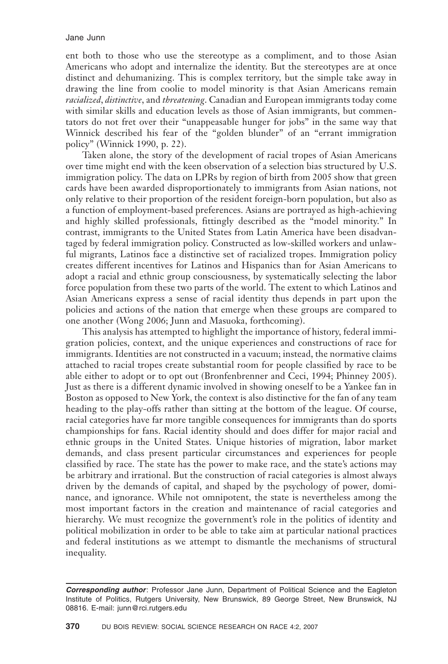ent both to those who use the stereotype as a compliment, and to those Asian Americans who adopt and internalize the identity. But the stereotypes are at once distinct and dehumanizing. This is complex territory, but the simple take away in drawing the line from coolie to model minority is that Asian Americans remain *racialized*, *distinctive*, and *threatening*. Canadian and European immigrants today come with similar skills and education levels as those of Asian immigrants, but commentators do not fret over their "unappeasable hunger for jobs" in the same way that Winnick described his fear of the "golden blunder" of an "errant immigration policy" (Winnick 1990, p. 22).

Taken alone, the story of the development of racial tropes of Asian Americans over time might end with the keen observation of a selection bias structured by U.S. immigration policy. The data on LPRs by region of birth from 2005 show that green cards have been awarded disproportionately to immigrants from Asian nations, not only relative to their proportion of the resident foreign-born population, but also as a function of employment-based preferences. Asians are portrayed as high-achieving and highly skilled professionals, fittingly described as the "model minority." In contrast, immigrants to the United States from Latin America have been disadvantaged by federal immigration policy. Constructed as low-skilled workers and unlawful migrants, Latinos face a distinctive set of racialized tropes. Immigration policy creates different incentives for Latinos and Hispanics than for Asian Americans to adopt a racial and ethnic group consciousness, by systematically selecting the labor force population from these two parts of the world. The extent to which Latinos and Asian Americans express a sense of racial identity thus depends in part upon the policies and actions of the nation that emerge when these groups are compared to one another (Wong 2006; Junn and Masuoka, forthcoming).

This analysis has attempted to highlight the importance of history, federal immigration policies, context, and the unique experiences and constructions of race for immigrants. Identities are not constructed in a vacuum; instead, the normative claims attached to racial tropes create substantial room for people classified by race to be able either to adopt or to opt out (Bronfenbrenner and Ceci, 1994; Phinney 2005). Just as there is a different dynamic involved in showing oneself to be a Yankee fan in Boston as opposed to New York, the context is also distinctive for the fan of any team heading to the play-offs rather than sitting at the bottom of the league. Of course, racial categories have far more tangible consequences for immigrants than do sports championships for fans. Racial identity should and does differ for major racial and ethnic groups in the United States. Unique histories of migration, labor market demands, and class present particular circumstances and experiences for people classified by race. The state has the power to make race, and the state's actions may be arbitrary and irrational. But the construction of racial categories is almost always driven by the demands of capital, and shaped by the psychology of power, dominance, and ignorance. While not omnipotent, the state is nevertheless among the most important factors in the creation and maintenance of racial categories and hierarchy. We must recognize the government's role in the politics of identity and political mobilization in order to be able to take aim at particular national practices and federal institutions as we attempt to dismantle the mechanisms of structural inequality.

*Corresponding author*: Professor Jane Junn, Department of Political Science and the Eagleton Institute of Politics, Rutgers University, New Brunswick, 89 George Street, New Brunswick, NJ 08816. E-mail: junn@rci.rutgers.edu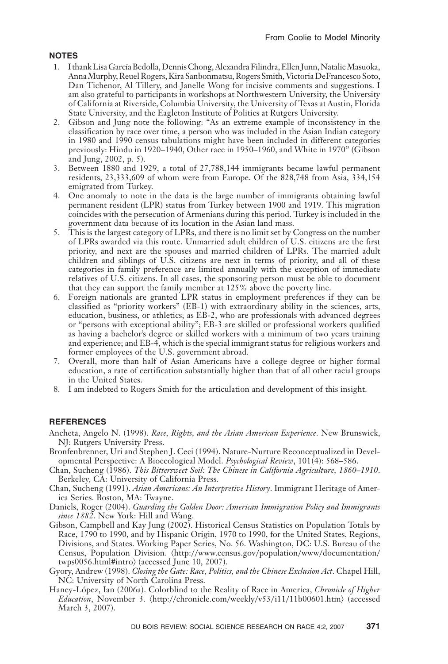#### **NOTES**

- 1. I thank Lisa García Bedolla, Dennis Chong, Alexandra Filindra, Ellen Junn, Natalie Masuoka, AnnaMurphy, Reuel Rogers, Kira Sanbonmatsu, Rogers Smith, Victoria DeFrancesco Soto, Dan Tichenor, Al Tillery, and Janelle Wong for incisive comments and suggestions. I am also grateful to participants in workshops at Northwestern University, the University of California at Riverside, Columbia University, the University of Texas at Austin, Florida State University, and the Eagleton Institute of Politics at Rutgers University.
- 2. Gibson and Jung note the following: "As an extreme example of inconsistency in the classification by race over time, a person who was included in the Asian Indian category in 1980 and 1990 census tabulations might have been included in different categories previously: Hindu in 1920–1940, Other race in 1950–1960, and White in 1970" (Gibson and Jung, 2002, p. 5).
- 3. Between 1880 and 1929, a total of 27,788,144 immigrants became lawful permanent residents, 23,333,609 of whom were from Europe. Of the 828,748 from Asia, 334,154 emigrated from Turkey.
- 4. One anomaly to note in the data is the large number of immigrants obtaining lawful permanent resident (LPR) status from Turkey between 1900 and 1919. This migration coincides with the persecution of Armenians during this period. Turkey is included in the government data because of its location in the Asian land mass.
- 5. This is the largest category of LPRs, and there is no limit set by Congress on the number of LPRs awarded via this route. Unmarried adult children of U.S. citizens are the first priority, and next are the spouses and married children of LPRs. The married adult children and siblings of U.S. citizens are next in terms of priority, and all of these categories in family preference are limited annually with the exception of immediate relatives of U.S. citizens. In all cases, the sponsoring person must be able to document that they can support the family member at 125% above the poverty line.
- 6. Foreign nationals are granted LPR status in employment preferences if they can be classified as "priority workers" (EB-1) with extraordinary ability in the sciences, arts, education, business, or athletics; as EB-2, who are professionals with advanced degrees or "persons with exceptional ability"; EB-3 are skilled or professional workers qualified as having a bachelor's degree or skilled workers with a minimum of two years training and experience; and EB-4, which is the special immigrant status for religious workers and former employees of the U.S. government abroad.
- 7. Overall, more than half of Asian Americans have a college degree or higher formal education, a rate of certification substantially higher than that of all other racial groups in the United States.
- 8. I am indebted to Rogers Smith for the articulation and development of this insight.

#### **REFERENCES**

- Ancheta, Angelo N. (1998). *Race, Rights, and the Asian American Experience*. New Brunswick, NJ: Rutgers University Press.
- Bronfenbrenner, Uri and Stephen J. Ceci (1994). Nature-Nurture Reconceptualized in Developmental Perspective: A Bioecological Model. *Psychological Review*, 101(4): 568–586.
- Chan, Sucheng ~1986!. *This Bittersweet Soil: The Chinese in California Agriculture, 1860–1910*. Berkeley, CA: University of California Press.
- Chan, Sucheng (1991). *Asian Americans: An Interpretive History*. Immigrant Heritage of America Series. Boston, MA: Twayne.
- Daniels, Roger (2004). *Guarding the Golden Door: American Immigration Policy and Immigrants since 1882*. New York: Hill and Wang.
- Gibson, Campbell and Kay Jung (2002). Historical Census Statistics on Population Totals by Race, 1790 to 1990, and by Hispanic Origin, 1970 to 1990, for the United States, Regions, Divisions, and States. Working Paper Series, No. 56. Washington, DC: U.S. Bureau of the Census, Population Division.  $\langle http://www.census.gov/population/www/documentation/$  $twps0056.html$ #intro $\rangle$  (accessed June 10, 2007).
- Gyory, Andrew ~1998!. *Closing the Gate: Race, Politics, and the Chinese Exclusion Act*. Chapel Hill, NC: University of North Carolina Press.
- Haney-López, Ian (2006a). Colorblind to the Reality of Race in America, *Chronicle of Higher Education*, November 3.  $\langle$ http://chronicle.com/weekly/v53/i11/11b00601.htm) (accessed March 3, 2007).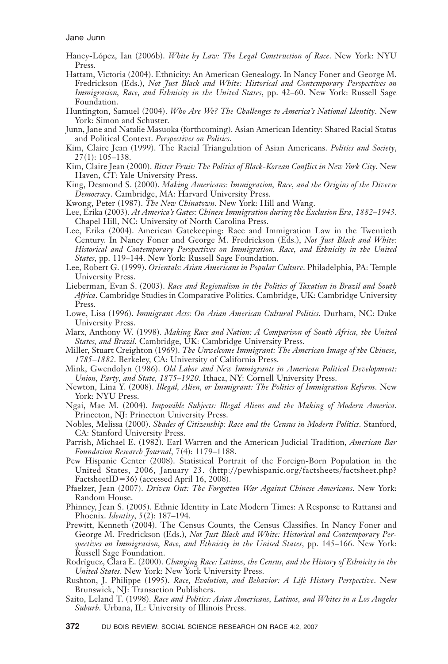- Haney-López, Ian (2006b). *White by Law: The Legal Construction of Race*. New York: NYU Press.
- Hattam, Victoria (2004). Ethnicity: An American Genealogy. In Nancy Foner and George M. Fredrickson (Eds.), *Not Just Black and White: Historical and Contemporary Perspectives on Immigration, Race, and Ethnicity in the United States*, pp. 42–60. New York: Russell Sage Foundation.
- Huntington, Samuel (2004). *Who Are We? The Challenges to America's National Identity*. New York: Simon and Schuster.
- Junn, Jane and Natalie Masuoka (forthcoming). Asian American Identity: Shared Racial Status and Political Context. *Perspectives on Politics*.
- Kim, Claire Jean ~1999!. The Racial Triangulation of Asian Americans. *Politics and Society*,  $27(1): 105-138.$
- Kim, Claire Jean (2000). *Bitter Fruit: The Politics of Black-Korean Conflict in New York City*. New Haven, CT: Yale University Press.
- King, Desmond S. (2000). *Making Americans: Immigration, Race, and the Origins of the Diverse Democracy*. Cambridge, MA: Harvard University Press.

Kwong, Peter (1987). *The New Chinatown*. New York: Hill and Wang.

- Lee, Erika (2003). *At America's Gates: Chinese Immigration during the Exclusion Era, 1882–1943*. Chapel Hill, NC: University of North Carolina Press.
- Lee, Erika (2004). American Gatekeeping: Race and Immigration Law in the Twentieth Century. In Nancy Foner and George M. Fredrickson (Eds.), *Not Just Black and White: Historical and Contemporary Perspectives on Immigration, Race, and Ethnicity in the United States*, pp. 119–144. New York: Russell Sage Foundation.
- Lee, Robert G. ~1999!. *Orientals: Asian Americans in Popular Culture*. Philadelphia, PA: Temple University Press.
- Lieberman, Evan S. (2003). *Race and Regionalism in the Politics of Taxation in Brazil and South Africa*. Cambridge Studies in Comparative Politics. Cambridge, UK: Cambridge University Press.
- Lowe, Lisa ~1996!. *Immigrant Acts: On Asian American Cultural Politics*. Durham, NC: Duke University Press.
- Marx, Anthony W. (1998). *Making Race and Nation: A Comparison of South Africa, the United States, and Brazil*. Cambridge, UK: Cambridge University Press.
- Miller, Stuart Creighton ~1969!. *The Unwelcome Immigrant: The American Image of the Chinese, 1785–1882*. Berkeley, CA: University of California Press.
- Mink, Gwendolyn ~1986!. *Old Labor and New Immigrants in American Political Development: Union, Party, and State, 1875–1920*. Ithaca, NY: Cornell University Press.
- Newton, Lina Y. (2008). *Illegal, Alien, or Immigrant: The Politics of Immigration Reform*. New York: NYU Press.
- Ngai, Mae M. (2004). *Impossible Subjects: Illegal Aliens and the Making of Modern America*. Princeton, NJ: Princeton University Press.
- Nobles, Melissa ~2000!. *Shades of Citizenship: Race and the Census in Modern Politics*. Stanford, CA: Stanford University Press.
- Parrish, Michael E. (1982). Earl Warren and the American Judicial Tradition, *American Bar* Foundation Research Journal, 7(4): 1179–1188.
- Pew Hispanic Center (2008). Statistical Portrait of the Foreign-Born Population in the United States, 2006, January 23.  $\hbar$ ttp://pewhispanic.org/factsheets/factsheet.php? FactsheetID=36 $\rangle$  (accessed April 16, 2008).
- Pfaelzer, Jean (2007). *Driven Out: The Forgotten War Against Chinese Americans*. New York: Random House.
- Phinney, Jean S. (2005). Ethnic Identity in Late Modern Times: A Response to Rattansi and Phoenix. *Identity*, 5(2): 187-194.
- Prewitt, Kenneth (2004). The Census Counts, the Census Classifies. In Nancy Foner and George M. Fredrickson (Eds.), *Not Just Black and White: Historical and Contemporary Perspectives on Immigration, Race, and Ethnicity in the United States*, pp. 145–166. New York: Russell Sage Foundation.
- Rodríguez, Clara E. (2000). *Changing Race: Latinos, the Census, and the History of Ethnicity in the United States*. New York: New York University Press.
- Rushton, J. Philippe (1995). *Race, Evolution, and Behavior: A Life History Perspective*. New Brunswick, NJ: Transaction Publishers.
- Saito, Leland T. (1998). *Race and Politics: Asian Americans, Latinos, and Whites in a Los Angeles Suburb*. Urbana, IL: University of Illinois Press.